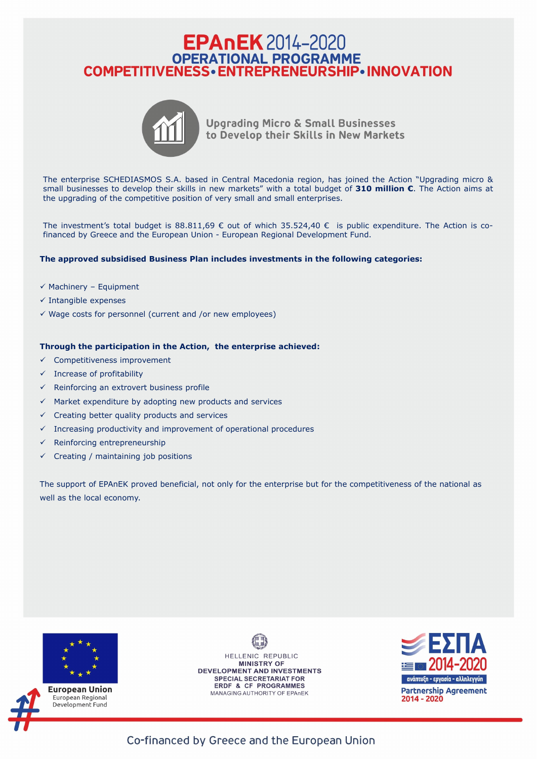## **EPAnEK** 2014-2020 OPERATIONAL PROGRAMME<br>COMPETITIVENESS • ENTREPRENEURSHIP • INNOVATION



**Upgrading Micro & Small Businesses** to Develop their Skills in New Markets

The enterprise SCHEDIASMOS S.A. based in Central Macedonia region, has joined the Action "Upgrading micro & small businesses to develop their skills in new markets" with a total budget of **310 million €**. The Action aims at the upgrading of the competitive position of very small and small enterprises.

The investment's total budget is 88.811,69  $\epsilon$  out of which 35.524,40  $\epsilon$  is public expenditure. The Action is cofinanced by Greece and the European Union - European Regional Development Fund.

- ✓ Competitiveness improvement
- $\checkmark$  Increase of profitability
- $\checkmark$  Reinforcing an extrovert business profile
- $\checkmark$  Market expenditure by adopting new products and services
- $\checkmark$  Creating better quality products and services
- $\checkmark$  Increasing productivity and improvement of operational procedures
- $\checkmark$  Reinforcing entrepreneurship
- $\checkmark$  Creating / maintaining job positions

## **The approved subsidised Business Plan includes investments in the following categories:**

- $\checkmark$  Machinery Equipment
- $\checkmark$  Intangible expenses
- $\checkmark$  Wage costs for personnel (current and /or new employees)

## **Through the participation in the Action, the enterprise achieved:**

The support of EPAnEK proved beneficial, not only for the enterprise but for the competitiveness of the national as well as the local economy.



**European Union** European Regional Development Fund

HELLENIC REPUBLIC **MINISTRY OF** DEVELOPMENT AND INVESTMENTS **SPECIAL SECRETARIAT FOR ERDF & CF PROGRAMMES** MANAGING AUTHORITY OF EPAnEK



Co-financed by Greece and the European Union